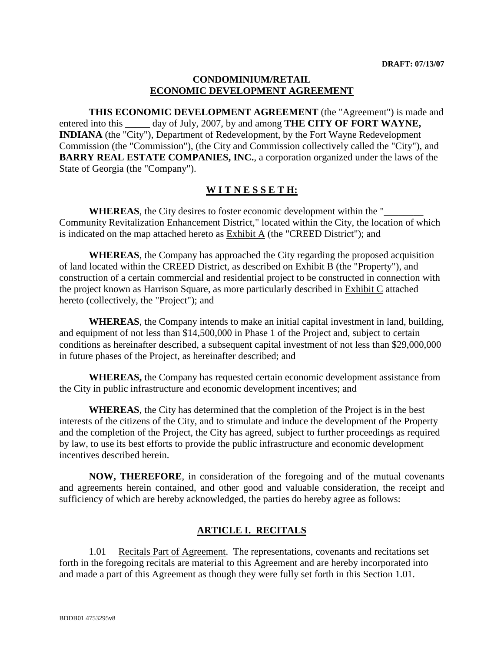#### **CONDOMINIUM/RETAIL ECONOMIC DEVELOPMENT AGREEMENT**

**THIS ECONOMIC DEVELOPMENT AGREEMENT** (the "Agreement") is made and entered into this day of July, 2007, by and among **THE CITY OF FORT WAYNE, INDIANA** (the "City"), Department of Redevelopment, by the Fort Wayne Redevelopment Commission (the "Commission"), (the City and Commission collectively called the "City"), and **BARRY REAL ESTATE COMPANIES, INC.**, a corporation organized under the laws of the State of Georgia (the "Company").

#### **W I T N E S S E T H:**

**WHEREAS**, the City desires to foster economic development within the "\_\_\_\_\_\_\_\_ Community Revitalization Enhancement District," located within the City, the location of which is indicated on the map attached hereto as  $Exhibit A$  (the "CREED District"); and

**WHEREAS**, the Company has approached the City regarding the proposed acquisition of land located within the CREED District, as described on Exhibit B (the "Property"), and construction of a certain commercial and residential project to be constructed in connection with the project known as Harrison Square, as more particularly described in Exhibit C attached hereto (collectively, the "Project"); and

**WHEREAS**, the Company intends to make an initial capital investment in land, building, and equipment of not less than \$14,500,000 in Phase 1 of the Project and, subject to certain conditions as hereinafter described, a subsequent capital investment of not less than \$29,000,000 in future phases of the Project, as hereinafter described; and

**WHEREAS,** the Company has requested certain economic development assistance from the City in public infrastructure and economic development incentives; and

**WHEREAS**, the City has determined that the completion of the Project is in the best interests of the citizens of the City, and to stimulate and induce the development of the Property and the completion of the Project, the City has agreed, subject to further proceedings as required by law, to use its best efforts to provide the public infrastructure and economic development incentives described herein.

**NOW, THEREFORE**, in consideration of the foregoing and of the mutual covenants and agreements herein contained, and other good and valuable consideration, the receipt and sufficiency of which are hereby acknowledged, the parties do hereby agree as follows:

### **ARTICLE I. RECITALS**

1.01 Recitals Part of Agreement. The representations, covenants and recitations set forth in the foregoing recitals are material to this Agreement and are hereby incorporated into and made a part of this Agreement as though they were fully set forth in this Section 1.01.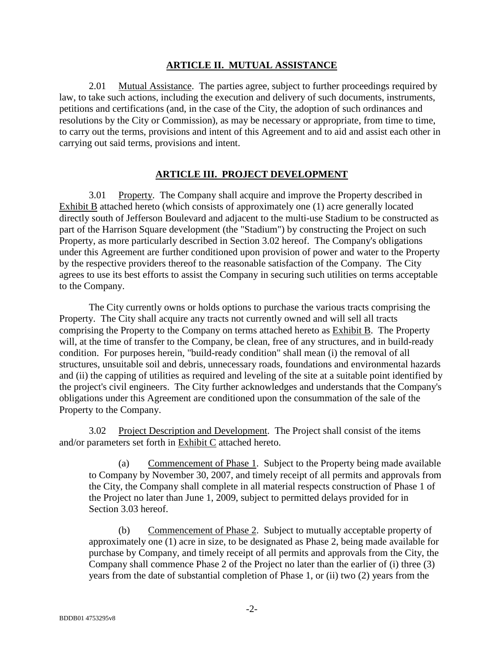#### **ARTICLE II. MUTUAL ASSISTANCE**

2.01 Mutual Assistance. The parties agree, subject to further proceedings required by law, to take such actions, including the execution and delivery of such documents, instruments, petitions and certifications (and, in the case of the City, the adoption of such ordinances and resolutions by the City or Commission), as may be necessary or appropriate, from time to time, to carry out the terms, provisions and intent of this Agreement and to aid and assist each other in carrying out said terms, provisions and intent.

#### **ARTICLE III. PROJECT DEVELOPMENT**

3.01 Property. The Company shall acquire and improve the Property described in Exhibit B attached hereto (which consists of approximately one (1) acre generally located directly south of Jefferson Boulevard and adjacent to the multi-use Stadium to be constructed as part of the Harrison Square development (the "Stadium") by constructing the Project on such Property, as more particularly described in Section 3.02 hereof. The Company's obligations under this Agreement are further conditioned upon provision of power and water to the Property by the respective providers thereof to the reasonable satisfaction of the Company. The City agrees to use its best efforts to assist the Company in securing such utilities on terms acceptable to the Company.

The City currently owns or holds options to purchase the various tracts comprising the Property. The City shall acquire any tracts not currently owned and will sell all tracts comprising the Property to the Company on terms attached hereto as Exhibit B. The Property will, at the time of transfer to the Company, be clean, free of any structures, and in build-ready condition. For purposes herein, "build-ready condition" shall mean (i) the removal of all structures, unsuitable soil and debris, unnecessary roads, foundations and environmental hazards and (ii) the capping of utilities as required and leveling of the site at a suitable point identified by the project's civil engineers. The City further acknowledges and understands that the Company's obligations under this Agreement are conditioned upon the consummation of the sale of the Property to the Company.

3.02 Project Description and Development. The Project shall consist of the items and/or parameters set forth in Exhibit C attached hereto.

(a) Commencement of Phase 1. Subject to the Property being made available to Company by November 30, 2007, and timely receipt of all permits and approvals from the City, the Company shall complete in all material respects construction of Phase 1 of the Project no later than June 1, 2009, subject to permitted delays provided for in Section 3.03 hereof.

(b) Commencement of Phase 2. Subject to mutually acceptable property of approximately one (1) acre in size, to be designated as Phase 2, being made available for purchase by Company, and timely receipt of all permits and approvals from the City, the Company shall commence Phase 2 of the Project no later than the earlier of (i) three (3) years from the date of substantial completion of Phase 1, or (ii) two (2) years from the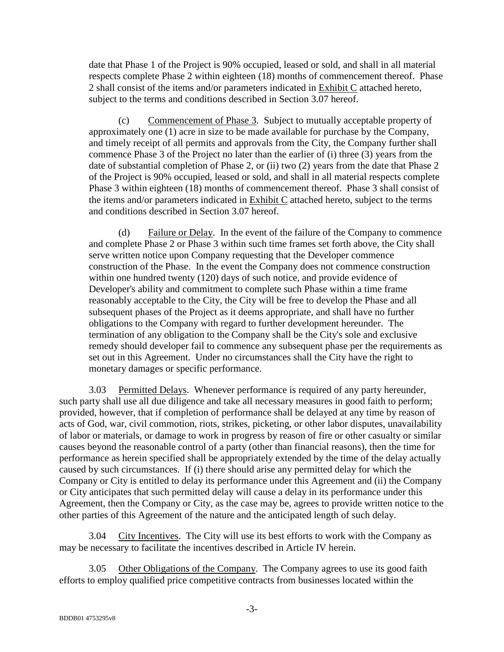date that Phase 1 of the Project is 90% occupied, leased or sold, and shall in all material respects complete Phase 2 within eighteen (18) months of commencement thereof. Phase 2 shall consist of the items and/or parameters indicated in Exhibit C attached hereto, subject to the terms and conditions described in Section 3.07 hereof.

(c) Commencement of Phase 3. Subject to mutually acceptable property of approximately one (1) acre in size to be made available for purchase by the Company, and timely receipt of all permits and approvals from the City, the Company further shall commence Phase 3 of the Project no later than the earlier of (i) three (3) years from the date of substantial completion of Phase 2, or (ii) two (2) years from the date that Phase 2 of the Project is 90% occupied, leased or sold, and shall in all material respects complete Phase 3 within eighteen (18) months of commencement thereof. Phase 3 shall consist of the items and/or parameters indicated in Exhibit C attached hereto, subject to the terms and conditions described in Section 3.07 hereof.

(d) Failure or Delay. In the event of the failure of the Company to commence and complete Phase 2 or Phase 3 within such time frames set forth above, the City shall serve written notice upon Company requesting that the Developer commence construction of the Phase. In the event the Company does not commence construction within one hundred twenty (120) days of such notice, and provide evidence of Developer's ability and commitment to complete such Phase within a time frame reasonably acceptable to the City, the City will be free to develop the Phase and all subsequent phases of the Project as it deems appropriate, and shall have no further obligations to the Company with regard to further development hereunder. The termination of any obligation to the Company shall be the City's sole and exclusive remedy should developer fail to commence any subsequent phase per the requirements as set out in this Agreement. Under no circumstances shall the City have the right to monetary damages or specific performance.

3.03 Permitted Delays. Whenever performance is required of any party hereunder, such party shall use all due diligence and take all necessary measures in good faith to perform; provided, however, that if completion of performance shall be delayed at any time by reason of acts of God, war, civil commotion, riots, strikes, picketing, or other labor disputes, unavailability of labor or materials, or damage to work in progress by reason of fire or other casualty or similar causes beyond the reasonable control of a party (other than financial reasons), then the time for performance as herein specified shall be appropriately extended by the time of the delay actually caused by such circumstances. If (i) there should arise any permitted delay for which the Company or City is entitled to delay its performance under this Agreement and (ii) the Company or City anticipates that such permitted delay will cause a delay in its performance under this Agreement, then the Company or City, as the case may be, agrees to provide written notice to the other parties of this Agreement of the nature and the anticipated length of such delay.

3.04 City Incentives. The City will use its best efforts to work with the Company as may be necessary to facilitate the incentives described in Article IV herein.

3.05 Other Obligations of the Company.The Company agrees to use its good faith efforts to employ qualified price competitive contracts from businesses located within the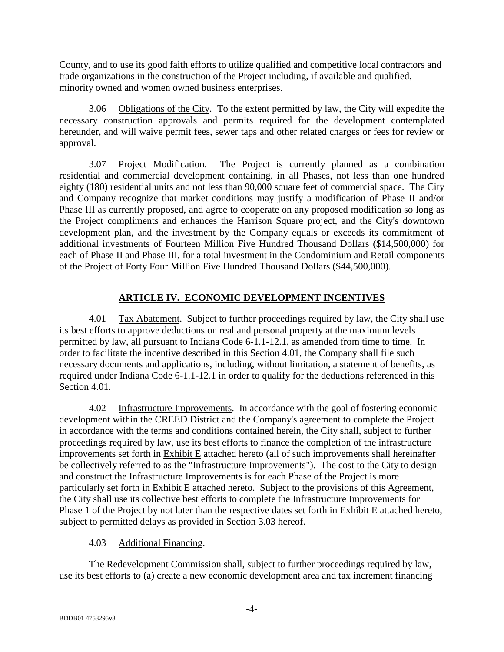County, and to use its good faith efforts to utilize qualified and competitive local contractors and trade organizations in the construction of the Project including, if available and qualified, minority owned and women owned business enterprises.

3.06 Obligations of the City. To the extent permitted by law, the City will expedite the necessary construction approvals and permits required for the development contemplated hereunder, and will waive permit fees, sewer taps and other related charges or fees for review or approval.

3.07 Project Modification. The Project is currently planned as a combination residential and commercial development containing, in all Phases, not less than one hundred eighty (180) residential units and not less than 90,000 square feet of commercial space. The City and Company recognize that market conditions may justify a modification of Phase II and/or Phase III as currently proposed, and agree to cooperate on any proposed modification so long as the Project compliments and enhances the Harrison Square project, and the City's downtown development plan, and the investment by the Company equals or exceeds its commitment of additional investments of Fourteen Million Five Hundred Thousand Dollars (\$14,500,000) for each of Phase II and Phase III, for a total investment in the Condominium and Retail components of the Project of Forty Four Million Five Hundred Thousand Dollars (\$44,500,000).

### **ARTICLE IV. ECONOMIC DEVELOPMENT INCENTIVES**

4.01 Tax Abatement. Subject to further proceedings required by law, the City shall use its best efforts to approve deductions on real and personal property at the maximum levels permitted by law, all pursuant to Indiana Code 6-1.1-12.1, as amended from time to time. In order to facilitate the incentive described in this Section 4.01, the Company shall file such necessary documents and applications, including, without limitation, a statement of benefits, as required under Indiana Code 6-1.1-12.1 in order to qualify for the deductions referenced in this Section 4.01.

4.02 Infrastructure Improvements. In accordance with the goal of fostering economic development within the CREED District and the Company's agreement to complete the Project in accordance with the terms and conditions contained herein, the City shall, subject to further proceedings required by law, use its best efforts to finance the completion of the infrastructure improvements set forth in Exhibit E attached hereto (all of such improvements shall hereinafter be collectively referred to as the "Infrastructure Improvements"). The cost to the City to design and construct the Infrastructure Improvements is for each Phase of the Project is more particularly set forth in Exhibit E attached hereto. Subject to the provisions of this Agreement, the City shall use its collective best efforts to complete the Infrastructure Improvements for Phase 1 of the Project by not later than the respective dates set forth in Exhibit E attached hereto, subject to permitted delays as provided in Section 3.03 hereof.

### 4.03 Additional Financing.

The Redevelopment Commission shall, subject to further proceedings required by law, use its best efforts to (a) create a new economic development area and tax increment financing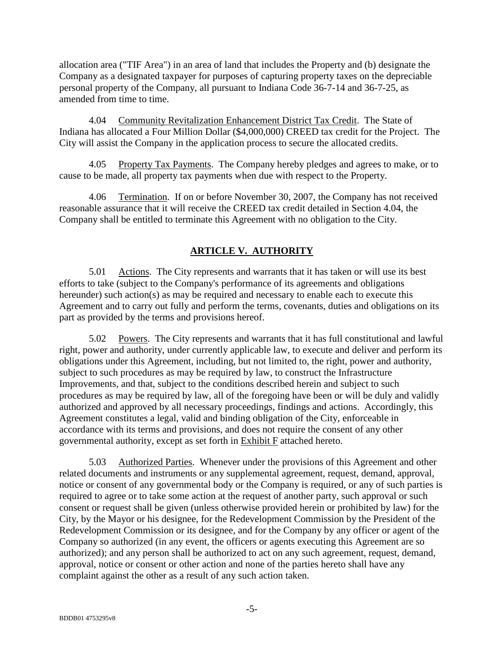allocation area ("TIF Area") in an area of land that includes the Property and (b) designate the Company as a designated taxpayer for purposes of capturing property taxes on the depreciable personal property of the Company, all pursuant to Indiana Code 36-7-14 and 36-7-25, as amended from time to time.

4.04 Community Revitalization Enhancement District Tax Credit. The State of Indiana has allocated a Four Million Dollar (\$4,000,000) CREED tax credit for the Project. The City will assist the Company in the application process to secure the allocated credits.

4.05 Property Tax Payments.The Company hereby pledges and agrees to make, or to cause to be made, all property tax payments when due with respect to the Property.

4.06 Termination. If on or before November 30, 2007, the Company has not received reasonable assurance that it will receive the CREED tax credit detailed in Section 4.04, the Company shall be entitled to terminate this Agreement with no obligation to the City.

## **ARTICLE V. AUTHORITY**

5.01 Actions. The City represents and warrants that it has taken or will use its best efforts to take (subject to the Company's performance of its agreements and obligations hereunder) such action(s) as may be required and necessary to enable each to execute this Agreement and to carry out fully and perform the terms, covenants, duties and obligations on its part as provided by the terms and provisions hereof.

5.02 Powers. The City represents and warrants that it has full constitutional and lawful right, power and authority, under currently applicable law, to execute and deliver and perform its obligations under this Agreement, including, but not limited to, the right, power and authority, subject to such procedures as may be required by law, to construct the Infrastructure Improvements, and that, subject to the conditions described herein and subject to such procedures as may be required by law, all of the foregoing have been or will be duly and validly authorized and approved by all necessary proceedings, findings and actions. Accordingly, this Agreement constitutes a legal, valid and binding obligation of the City, enforceable in accordance with its terms and provisions, and does not require the consent of any other governmental authority, except as set forth in Exhibit F attached hereto.

5.03 Authorized Parties. Whenever under the provisions of this Agreement and other related documents and instruments or any supplemental agreement, request, demand, approval, notice or consent of any governmental body or the Company is required, or any of such parties is required to agree or to take some action at the request of another party, such approval or such consent or request shall be given (unless otherwise provided herein or prohibited by law) for the City, by the Mayor or his designee, for the Redevelopment Commission by the President of the Redevelopment Commission or its designee, and for the Company by any officer or agent of the Company so authorized (in any event, the officers or agents executing this Agreement are so authorized); and any person shall be authorized to act on any such agreement, request, demand, approval, notice or consent or other action and none of the parties hereto shall have any complaint against the other as a result of any such action taken.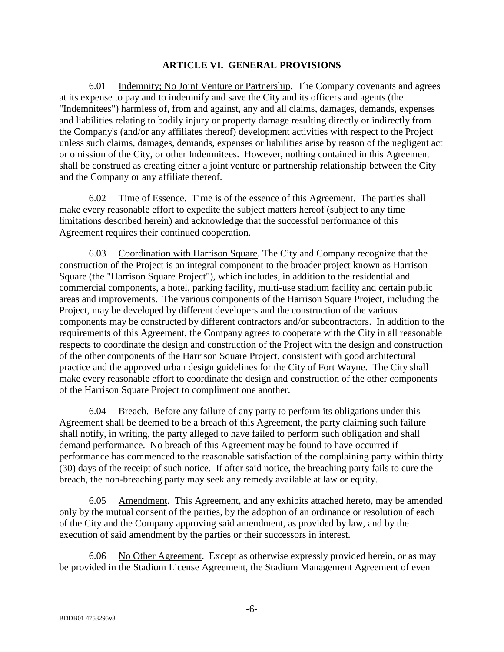#### **ARTICLE VI. GENERAL PROVISIONS**

6.01 Indemnity; No Joint Venture or Partnership. The Company covenants and agrees at its expense to pay and to indemnify and save the City and its officers and agents (the "Indemnitees") harmless of, from and against, any and all claims, damages, demands, expenses and liabilities relating to bodily injury or property damage resulting directly or indirectly from the Company's (and/or any affiliates thereof) development activities with respect to the Project unless such claims, damages, demands, expenses or liabilities arise by reason of the negligent act or omission of the City, or other Indemnitees. However, nothing contained in this Agreement shall be construed as creating either a joint venture or partnership relationship between the City and the Company or any affiliate thereof.

6.02 Time of Essence. Time is of the essence of this Agreement. The parties shall make every reasonable effort to expedite the subject matters hereof (subject to any time limitations described herein) and acknowledge that the successful performance of this Agreement requires their continued cooperation.

6.03 Coordination with Harrison Square. The City and Company recognize that the construction of the Project is an integral component to the broader project known as Harrison Square (the "Harrison Square Project"), which includes, in addition to the residential and commercial components, a hotel, parking facility, multi-use stadium facility and certain public areas and improvements. The various components of the Harrison Square Project, including the Project, may be developed by different developers and the construction of the various components may be constructed by different contractors and/or subcontractors. In addition to the requirements of this Agreement, the Company agrees to cooperate with the City in all reasonable respects to coordinate the design and construction of the Project with the design and construction of the other components of the Harrison Square Project, consistent with good architectural practice and the approved urban design guidelines for the City of Fort Wayne. The City shall make every reasonable effort to coordinate the design and construction of the other components of the Harrison Square Project to compliment one another.

6.04 Breach. Before any failure of any party to perform its obligations under this Agreement shall be deemed to be a breach of this Agreement, the party claiming such failure shall notify, in writing, the party alleged to have failed to perform such obligation and shall demand performance. No breach of this Agreement may be found to have occurred if performance has commenced to the reasonable satisfaction of the complaining party within thirty (30) days of the receipt of such notice. If after said notice, the breaching party fails to cure the breach, the non-breaching party may seek any remedy available at law or equity.

6.05 Amendment. This Agreement, and any exhibits attached hereto, may be amended only by the mutual consent of the parties, by the adoption of an ordinance or resolution of each of the City and the Company approving said amendment, as provided by law, and by the execution of said amendment by the parties or their successors in interest.

6.06 No Other Agreement. Except as otherwise expressly provided herein, or as may be provided in the Stadium License Agreement, the Stadium Management Agreement of even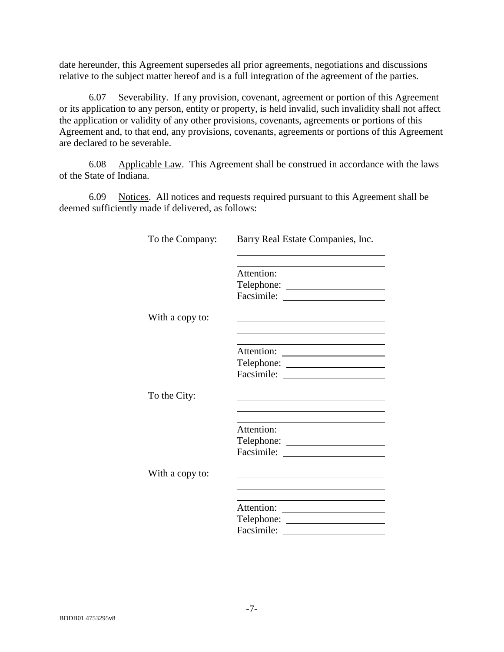date hereunder, this Agreement supersedes all prior agreements, negotiations and discussions relative to the subject matter hereof and is a full integration of the agreement of the parties.

6.07 Severability. If any provision, covenant, agreement or portion of this Agreement or its application to any person, entity or property, is held invalid, such invalidity shall not affect the application or validity of any other provisions, covenants, agreements or portions of this Agreement and, to that end, any provisions, covenants, agreements or portions of this Agreement are declared to be severable.

6.08 Applicable Law. This Agreement shall be construed in accordance with the laws of the State of Indiana.

6.09 Notices. All notices and requests required pursuant to this Agreement shall be deemed sufficiently made if delivered, as follows:

| To the Company: | Barry Real Estate Companies, Inc.                                                               |
|-----------------|-------------------------------------------------------------------------------------------------|
|                 | the contract of the contract of the contract of the contract of the contract of                 |
|                 |                                                                                                 |
|                 |                                                                                                 |
|                 |                                                                                                 |
| With a copy to: | the contract of the contract of the contract of the contract of the contract of the contract of |
|                 |                                                                                                 |
|                 |                                                                                                 |
|                 |                                                                                                 |
|                 |                                                                                                 |
| To the City:    |                                                                                                 |
|                 |                                                                                                 |
|                 |                                                                                                 |
|                 |                                                                                                 |
|                 |                                                                                                 |
|                 |                                                                                                 |
| With a copy to: |                                                                                                 |
|                 |                                                                                                 |
|                 |                                                                                                 |
|                 |                                                                                                 |
|                 |                                                                                                 |
|                 | Facsimile:                                                                                      |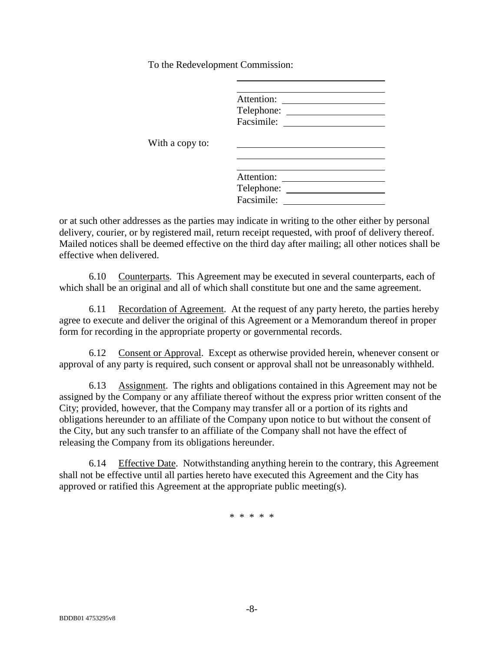To the Redevelopment Commission:

| Attention: |
|------------|
| Telephone: |
| Facsimile: |
|            |

With a copy to:

| Attention: |
|------------|
| Telephone: |
| Facsimile: |
|            |

or at such other addresses as the parties may indicate in writing to the other either by personal delivery, courier, or by registered mail, return receipt requested, with proof of delivery thereof. Mailed notices shall be deemed effective on the third day after mailing; all other notices shall be effective when delivered.

6.10 Counterparts. This Agreement may be executed in several counterparts, each of which shall be an original and all of which shall constitute but one and the same agreement.

6.11 Recordation of Agreement. At the request of any party hereto, the parties hereby agree to execute and deliver the original of this Agreement or a Memorandum thereof in proper form for recording in the appropriate property or governmental records.

6.12 Consent or Approval. Except as otherwise provided herein, whenever consent or approval of any party is required, such consent or approval shall not be unreasonably withheld.

6.13 Assignment. The rights and obligations contained in this Agreement may not be assigned by the Company or any affiliate thereof without the express prior written consent of the City; provided, however, that the Company may transfer all or a portion of its rights and obligations hereunder to an affiliate of the Company upon notice to but without the consent of the City, but any such transfer to an affiliate of the Company shall not have the effect of releasing the Company from its obligations hereunder.

6.14 Effective Date. Notwithstanding anything herein to the contrary, this Agreement shall not be effective until all parties hereto have executed this Agreement and the City has approved or ratified this Agreement at the appropriate public meeting(s).

\* \* \* \* \*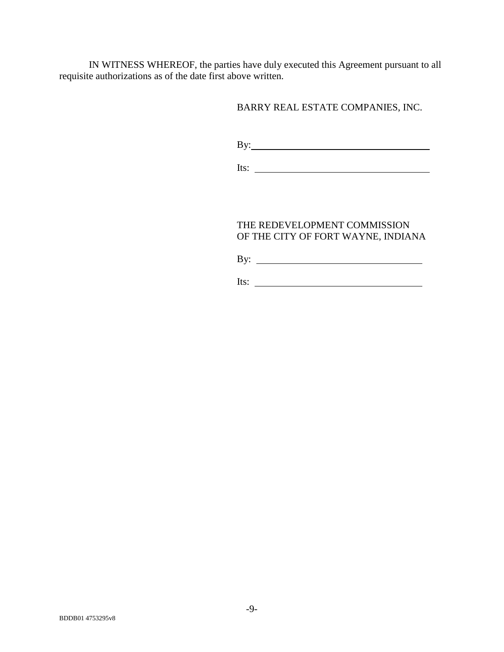IN WITNESS WHEREOF, the parties have duly executed this Agreement pursuant to all requisite authorizations as of the date first above written.

#### BARRY REAL ESTATE COMPANIES, INC.

By:

Its:

#### THE REDEVELOPMENT COMMISSION OF THE CITY OF FORT WAYNE, INDIANA

By:

Its: <u>the contract of the contract of the contract of the contract of the contract of the contract of the contract of the contract of the contract of the contract of the contract of the contract of the contract of the cont</u>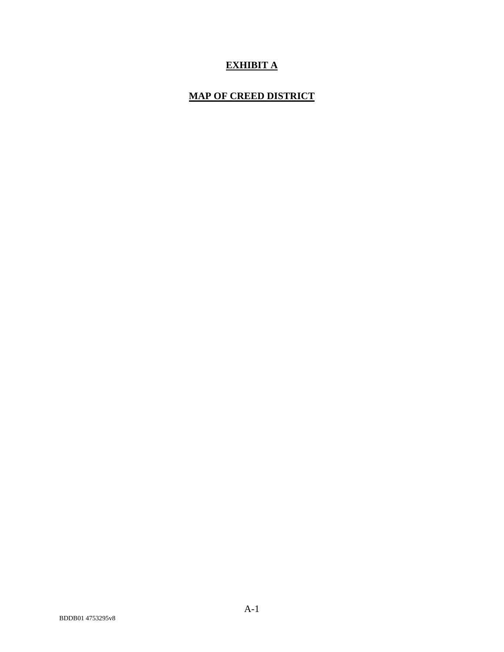## **EXHIBIT A**

### **MAP OF CREED DISTRICT**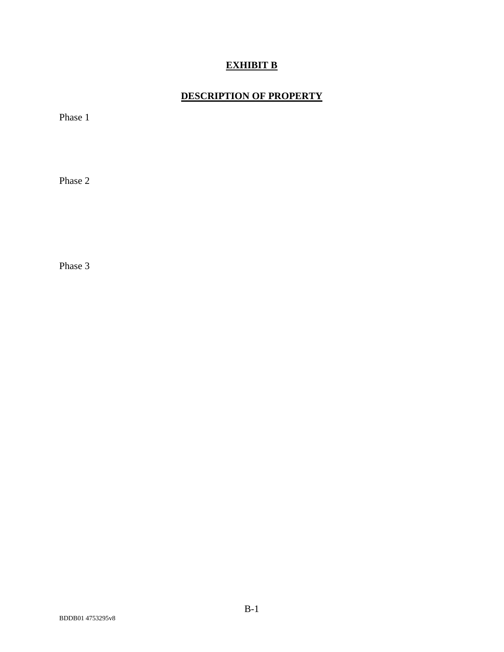## **EXHIBIT B**

## **DESCRIPTION OF PROPERTY**

Phase 1

Phase 2

Phase 3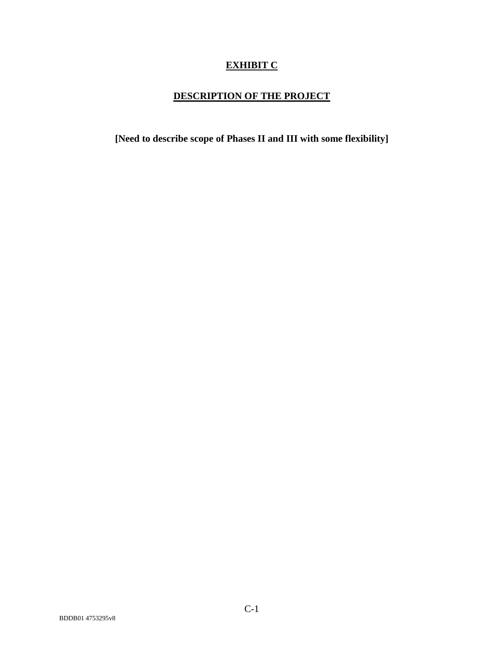## **EXHIBIT C**

## **DESCRIPTION OF THE PROJECT**

**[Need to describe scope of Phases II and III with some flexibility]**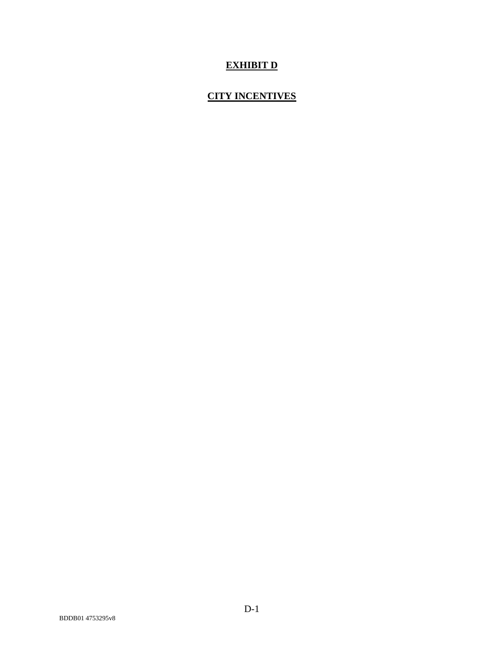## **EXHIBIT D**

## **CITY INCENTIVES**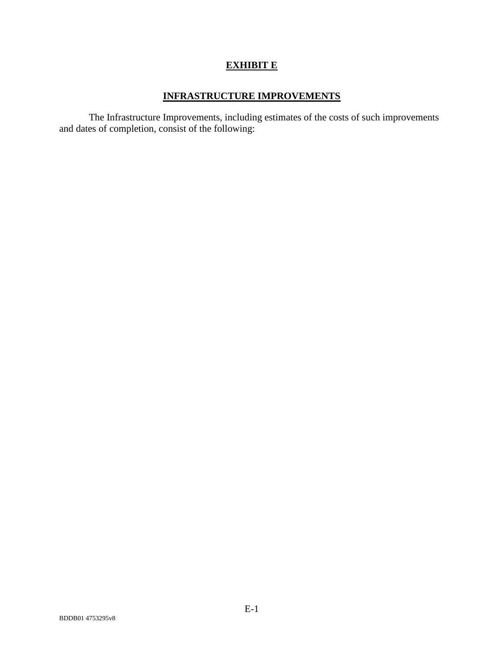## **EXHIBIT E**

### **INFRASTRUCTURE IMPROVEMENTS**

The Infrastructure Improvements, including estimates of the costs of such improvements and dates of completion, consist of the following: